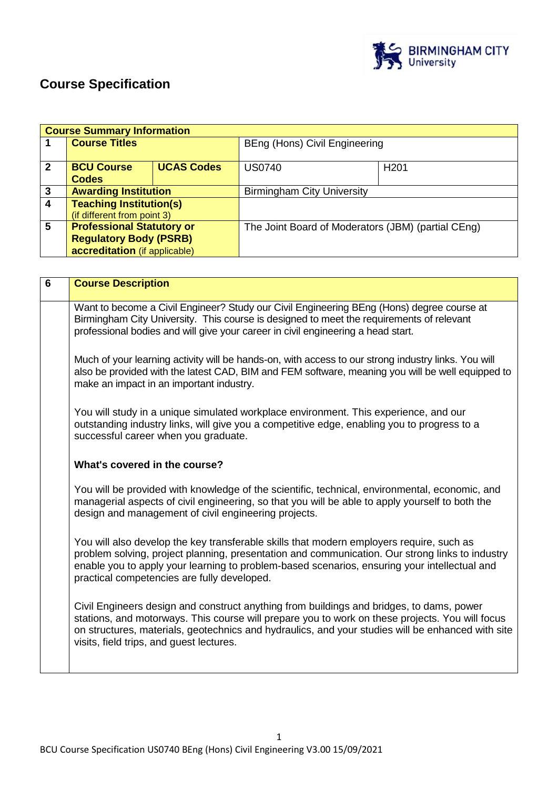

# **Course Specification**

|              | <b>Course Summary Information</b>                                                                  |                   |                                                    |                  |
|--------------|----------------------------------------------------------------------------------------------------|-------------------|----------------------------------------------------|------------------|
|              | <b>Course Titles</b>                                                                               |                   | BEng (Hons) Civil Engineering                      |                  |
| $\mathbf{2}$ | <b>BCU Course</b><br><b>Codes</b>                                                                  | <b>UCAS Codes</b> | <b>US0740</b>                                      | H <sub>201</sub> |
| 3            | <b>Awarding Institution</b>                                                                        |                   | <b>Birmingham City University</b>                  |                  |
| 4            | <b>Teaching Institution(s)</b><br>(if different from point 3)                                      |                   |                                                    |                  |
| 5            | <b>Professional Statutory or</b><br><b>Regulatory Body (PSRB)</b><br>accreditation (if applicable) |                   | The Joint Board of Moderators (JBM) (partial CEng) |                  |

| $6\phantom{1}$ | <b>Course Description</b>                                                                                                                                                                                                                                                                                                                    |
|----------------|----------------------------------------------------------------------------------------------------------------------------------------------------------------------------------------------------------------------------------------------------------------------------------------------------------------------------------------------|
|                | Want to become a Civil Engineer? Study our Civil Engineering BEng (Hons) degree course at<br>Birmingham City University. This course is designed to meet the requirements of relevant<br>professional bodies and will give your career in civil engineering a head start.                                                                    |
|                | Much of your learning activity will be hands-on, with access to our strong industry links. You will<br>also be provided with the latest CAD, BIM and FEM software, meaning you will be well equipped to<br>make an impact in an important industry.                                                                                          |
|                | You will study in a unique simulated workplace environment. This experience, and our<br>outstanding industry links, will give you a competitive edge, enabling you to progress to a<br>successful career when you graduate.                                                                                                                  |
|                | What's covered in the course?                                                                                                                                                                                                                                                                                                                |
|                | You will be provided with knowledge of the scientific, technical, environmental, economic, and<br>managerial aspects of civil engineering, so that you will be able to apply yourself to both the<br>design and management of civil engineering projects.                                                                                    |
|                | You will also develop the key transferable skills that modern employers require, such as<br>problem solving, project planning, presentation and communication. Our strong links to industry<br>enable you to apply your learning to problem-based scenarios, ensuring your intellectual and<br>practical competencies are fully developed.   |
|                | Civil Engineers design and construct anything from buildings and bridges, to dams, power<br>stations, and motorways. This course will prepare you to work on these projects. You will focus<br>on structures, materials, geotechnics and hydraulics, and your studies will be enhanced with site<br>visits, field trips, and guest lectures. |
|                |                                                                                                                                                                                                                                                                                                                                              |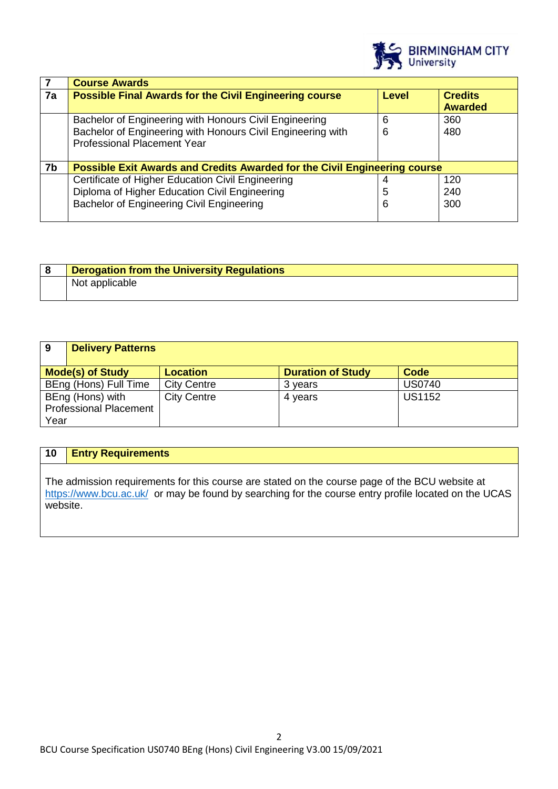

|    | <b>Course Awards</b>                                                                              |              |                                  |
|----|---------------------------------------------------------------------------------------------------|--------------|----------------------------------|
| 7a | <b>Possible Final Awards for the Civil Engineering course</b>                                     | <b>Level</b> | <b>Credits</b><br><b>Awarded</b> |
|    | Bachelor of Engineering with Honours Civil Engineering                                            | 6            | 360                              |
|    | Bachelor of Engineering with Honours Civil Engineering with<br><b>Professional Placement Year</b> | 6            | 480                              |
| 7b | Possible Exit Awards and Credits Awarded for the Civil Engineering course                         |              |                                  |
|    | Certificate of Higher Education Civil Engineering                                                 |              | 120                              |
|    | Diploma of Higher Education Civil Engineering                                                     | 5            | 240                              |
|    | <b>Bachelor of Engineering Civil Engineering</b>                                                  | 6            | 300                              |

| <b>Derogation from the University Regulations</b> |
|---------------------------------------------------|
| Not applicable                                    |
|                                                   |

| 9                             | <b>Delivery Patterns</b> |                    |                          |               |
|-------------------------------|--------------------------|--------------------|--------------------------|---------------|
|                               | <b>Mode(s) of Study</b>  | <b>Location</b>    | <b>Duration of Study</b> | Code          |
|                               | BEng (Hons) Full Time    | <b>City Centre</b> | 3 years                  | <b>US0740</b> |
|                               | BEng (Hons) with         | <b>City Centre</b> | 4 years                  | <b>US1152</b> |
| <b>Professional Placement</b> |                          |                    |                          |               |
| Year                          |                          |                    |                          |               |

## **10 Entry Requirements**

The admission requirements for this course are stated on the course page of the BCU website at <https://www.bcu.ac.uk/>or may be found by searching for the course entry profile located on the UCAS website.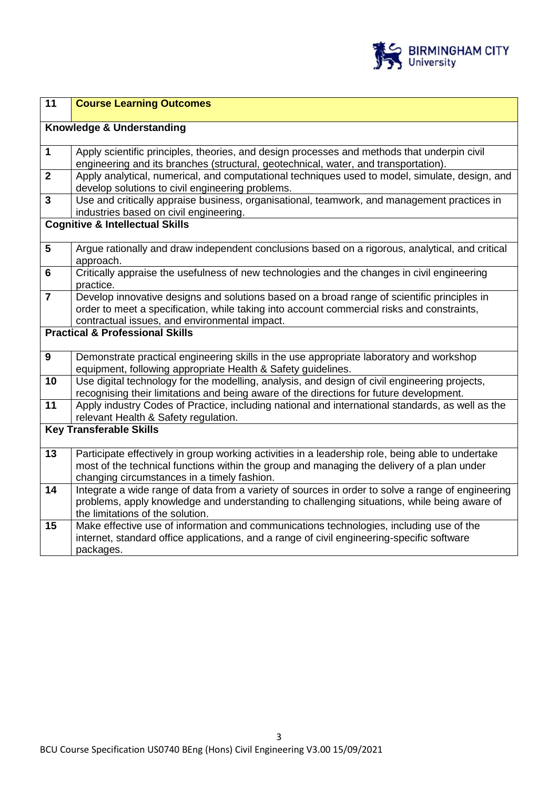

| 11                      | <b>Course Learning Outcomes</b>                                                                                                                                                           |
|-------------------------|-------------------------------------------------------------------------------------------------------------------------------------------------------------------------------------------|
|                         | Knowledge & Understanding                                                                                                                                                                 |
|                         |                                                                                                                                                                                           |
| $\mathbf 1$             | Apply scientific principles, theories, and design processes and methods that underpin civil                                                                                               |
|                         | engineering and its branches (structural, geotechnical, water, and transportation).                                                                                                       |
| $\overline{2}$          | Apply analytical, numerical, and computational techniques used to model, simulate, design, and                                                                                            |
|                         | develop solutions to civil engineering problems.                                                                                                                                          |
| $\overline{\mathbf{3}}$ | Use and critically appraise business, organisational, teamwork, and management practices in                                                                                               |
|                         | industries based on civil engineering.<br><b>Cognitive &amp; Intellectual Skills</b>                                                                                                      |
|                         |                                                                                                                                                                                           |
| $\overline{\mathbf{5}}$ | Argue rationally and draw independent conclusions based on a rigorous, analytical, and critical                                                                                           |
|                         | approach.                                                                                                                                                                                 |
| $6\phantom{1}$          | Critically appraise the usefulness of new technologies and the changes in civil engineering                                                                                               |
| $\overline{7}$          | practice.                                                                                                                                                                                 |
|                         | Develop innovative designs and solutions based on a broad range of scientific principles in<br>order to meet a specification, while taking into account commercial risks and constraints, |
|                         | contractual issues, and environmental impact.                                                                                                                                             |
|                         | <b>Practical &amp; Professional Skills</b>                                                                                                                                                |
|                         |                                                                                                                                                                                           |
| 9                       | Demonstrate practical engineering skills in the use appropriate laboratory and workshop                                                                                                   |
|                         | equipment, following appropriate Health & Safety guidelines.                                                                                                                              |
| 10                      | Use digital technology for the modelling, analysis, and design of civil engineering projects,                                                                                             |
|                         | recognising their limitations and being aware of the directions for future development.                                                                                                   |
| $\overline{11}$         | Apply industry Codes of Practice, including national and international standards, as well as the                                                                                          |
|                         | relevant Health & Safety regulation.                                                                                                                                                      |
|                         | <b>Key Transferable Skills</b>                                                                                                                                                            |
| 13                      | Participate effectively in group working activities in a leadership role, being able to undertake                                                                                         |
|                         | most of the technical functions within the group and managing the delivery of a plan under                                                                                                |
|                         | changing circumstances in a timely fashion.                                                                                                                                               |
| 14                      | Integrate a wide range of data from a variety of sources in order to solve a range of engineering                                                                                         |
|                         | problems, apply knowledge and understanding to challenging situations, while being aware of                                                                                               |
|                         | the limitations of the solution.                                                                                                                                                          |
| 15                      | Make effective use of information and communications technologies, including use of the                                                                                                   |
|                         | internet, standard office applications, and a range of civil engineering-specific software                                                                                                |
|                         | packages.                                                                                                                                                                                 |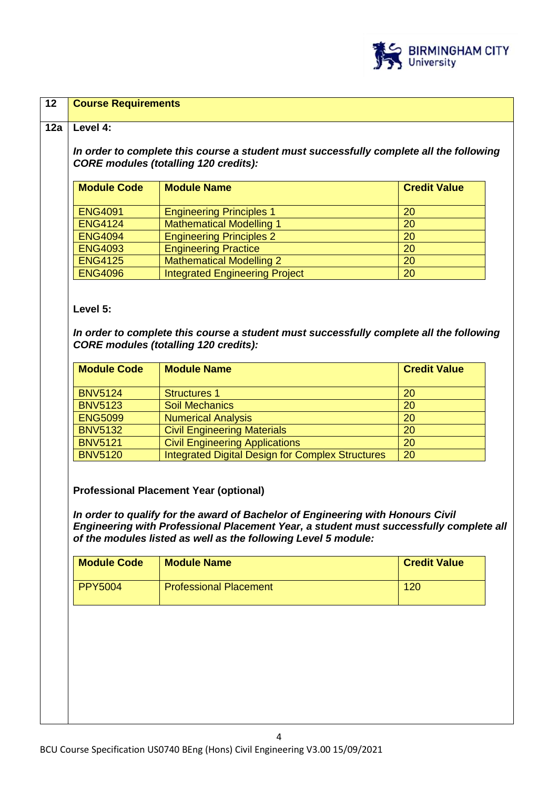

| <b>Module Code</b>                                                                                                             | <b>Module Name</b>                                                                                                                                                                                                                                                                           | <b>Credit Value</b> |
|--------------------------------------------------------------------------------------------------------------------------------|----------------------------------------------------------------------------------------------------------------------------------------------------------------------------------------------------------------------------------------------------------------------------------------------|---------------------|
| <b>ENG4091</b>                                                                                                                 | <b>Engineering Principles 1</b>                                                                                                                                                                                                                                                              | 20                  |
| <b>ENG4124</b>                                                                                                                 | <b>Mathematical Modelling 1</b>                                                                                                                                                                                                                                                              | 20                  |
| <b>ENG4094</b>                                                                                                                 | <b>Engineering Principles 2</b>                                                                                                                                                                                                                                                              | 20                  |
| <b>ENG4093</b>                                                                                                                 | <b>Engineering Practice</b>                                                                                                                                                                                                                                                                  | 20                  |
| <b>ENG4125</b>                                                                                                                 | <b>Mathematical Modelling 2</b>                                                                                                                                                                                                                                                              | 20                  |
| <b>ENG4096</b>                                                                                                                 | <b>Integrated Engineering Project</b>                                                                                                                                                                                                                                                        | 20                  |
|                                                                                                                                |                                                                                                                                                                                                                                                                                              |                     |
|                                                                                                                                |                                                                                                                                                                                                                                                                                              |                     |
|                                                                                                                                | <b>Module Name</b>                                                                                                                                                                                                                                                                           | <b>Credit Value</b> |
|                                                                                                                                | <b>Structures 1</b>                                                                                                                                                                                                                                                                          | 20                  |
|                                                                                                                                | <b>Soil Mechanics</b>                                                                                                                                                                                                                                                                        | 20                  |
|                                                                                                                                | <b>Numerical Analysis</b>                                                                                                                                                                                                                                                                    | 20                  |
|                                                                                                                                | <b>Civil Engineering Materials</b>                                                                                                                                                                                                                                                           | 20                  |
|                                                                                                                                | <b>Civil Engineering Applications</b><br><b>Integrated Digital Design for Complex Structures</b>                                                                                                                                                                                             | 20<br>20            |
| <b>Module Code</b><br><b>BNV5124</b><br><b>BNV5123</b><br><b>ENG5099</b><br><b>BNV5132</b><br><b>BNV5121</b><br><b>BNV5120</b> | <b>Professional Placement Year (optional)</b><br>In order to qualify for the award of Bachelor of Engineering with Honours Civil<br>Engineering with Professional Placement Year, a student must successfully complete all<br>of the modules listed as well as the following Level 5 module: |                     |
| <b>Module Code</b>                                                                                                             | <b>Module Name</b>                                                                                                                                                                                                                                                                           | <b>Credit Value</b> |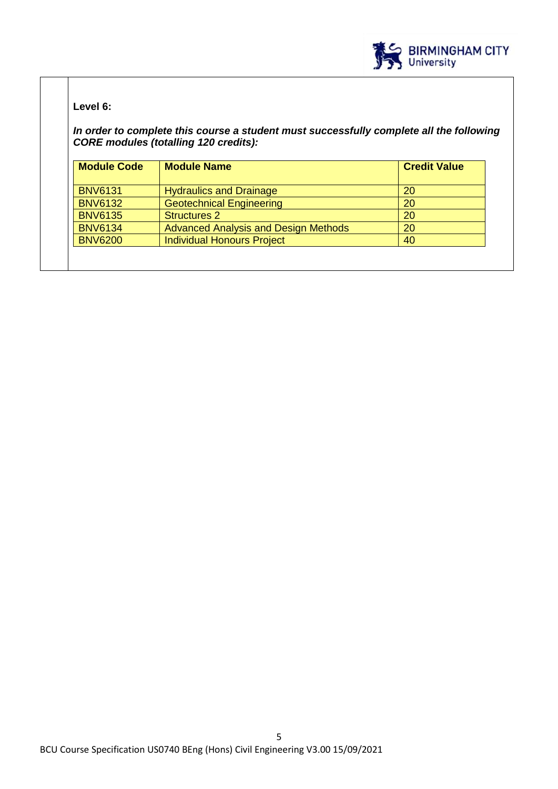

## **Level 6:**

*In order to complete this course a student must successfully complete all the following CORE modules (totalling 120 credits):*

| <b>Module Code</b> | <b>Module Name</b>                          | <b>Credit Value</b> |
|--------------------|---------------------------------------------|---------------------|
| <b>BNV6131</b>     | <b>Hydraulics and Drainage</b>              | <b>20</b>           |
| <b>BNV6132</b>     | <b>Geotechnical Engineering</b>             | <b>20</b>           |
| <b>BNV6135</b>     | <b>Structures 2</b>                         | 20                  |
| <b>BNV6134</b>     | <b>Advanced Analysis and Design Methods</b> | 20                  |
| <b>BNV6200</b>     | <b>Individual Honours Project</b>           | 40                  |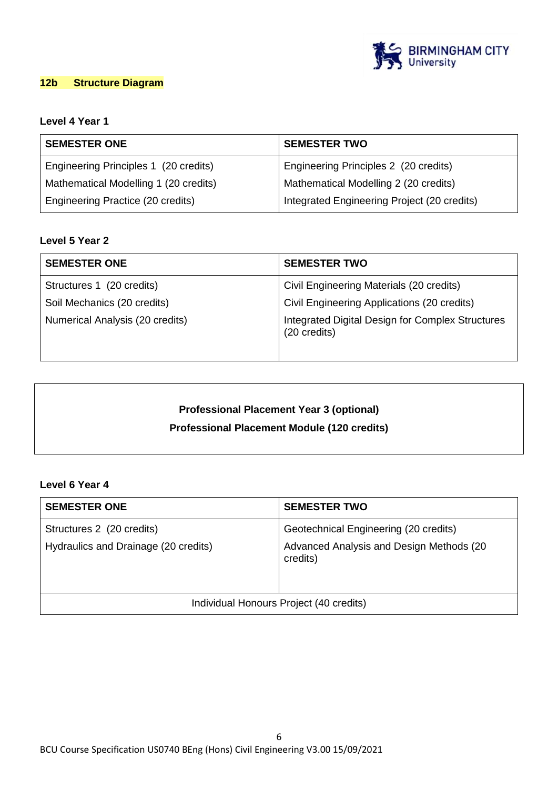

## **12b Structure Diagram**

## **Level 4 Year 1**

| <b>SEMESTER ONE</b>                   | <b>SEMESTER TWO</b>                         |  |
|---------------------------------------|---------------------------------------------|--|
| Engineering Principles 1 (20 credits) | Engineering Principles 2 (20 credits)       |  |
| Mathematical Modelling 1 (20 credits) | Mathematical Modelling 2 (20 credits)       |  |
| Engineering Practice (20 credits)     | Integrated Engineering Project (20 credits) |  |

## **Level 5 Year 2**

| <b>SEMESTER ONE</b>             | <b>SEMESTER TWO</b>                                              |
|---------------------------------|------------------------------------------------------------------|
| Structures 1 (20 credits)       | Civil Engineering Materials (20 credits)                         |
| Soil Mechanics (20 credits)     | Civil Engineering Applications (20 credits)                      |
| Numerical Analysis (20 credits) | Integrated Digital Design for Complex Structures<br>(20 credits) |

## **Professional Placement Year 3 (optional) Professional Placement Module (120 credits)**

#### **Level 6 Year 4**

| <b>SEMESTER ONE</b>                     | <b>SEMESTER TWO</b>                                  |
|-----------------------------------------|------------------------------------------------------|
| Structures 2 (20 credits)               | Geotechnical Engineering (20 credits)                |
| Hydraulics and Drainage (20 credits)    | Advanced Analysis and Design Methods (20<br>credits) |
| Individual Honours Project (40 credits) |                                                      |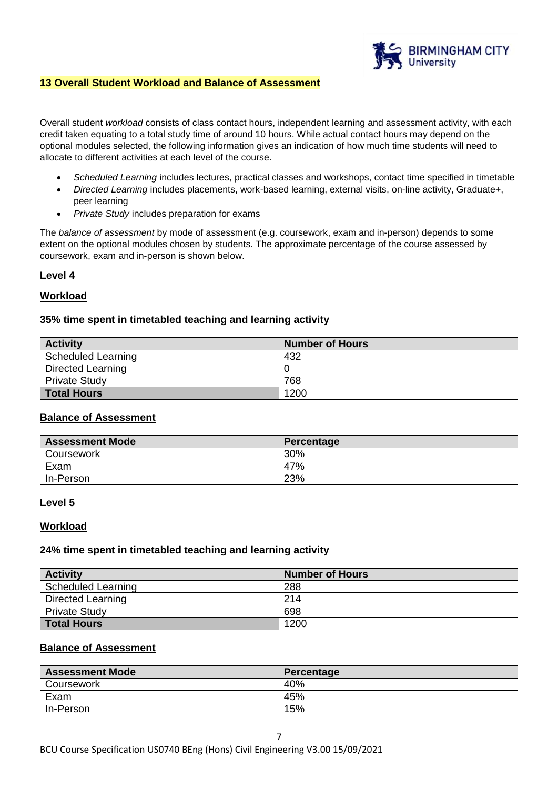

#### **13 Overall Student Workload and Balance of Assessment**

Overall student *workload* consists of class contact hours, independent learning and assessment activity, with each credit taken equating to a total study time of around 10 hours. While actual contact hours may depend on the optional modules selected, the following information gives an indication of how much time students will need to allocate to different activities at each level of the course.

- *Scheduled Learning* includes lectures, practical classes and workshops, contact time specified in timetable
- *Directed Learning* includes placements, work-based learning, external visits, on-line activity, Graduate+, peer learning
- *Private Study* includes preparation for exams

The *balance of assessment* by mode of assessment (e.g. coursework, exam and in-person) depends to some extent on the optional modules chosen by students. The approximate percentage of the course assessed by coursework, exam and in-person is shown below.

#### **Level 4**

#### **Workload**

#### **35% time spent in timetabled teaching and learning activity**

| <b>Activity</b>      | <b>Number of Hours</b> |
|----------------------|------------------------|
| Scheduled Learning   | 432                    |
| Directed Learning    |                        |
| <b>Private Study</b> | 768                    |
| <b>Total Hours</b>   | 1200                   |

## **Balance of Assessment**

| <b>Assessment Mode</b> | Percentage |
|------------------------|------------|
| <b>Coursework</b>      | 30%        |
| Exam                   | 47%        |
| In-Person              | 23%        |

#### **Level 5**

#### **Workload**

#### **24% time spent in timetabled teaching and learning activity**

| <b>Activity</b>      | <b>Number of Hours</b> |
|----------------------|------------------------|
| Scheduled Learning   | 288                    |
| Directed Learning    | 214                    |
| <b>Private Study</b> | 698                    |
| <b>Total Hours</b>   | 1200                   |

## **Balance of Assessment**

| <b>Assessment Mode</b> | Percentage |
|------------------------|------------|
| Coursework             | 40%        |
| Exam                   | 45%        |
| In-Person              | 15%        |